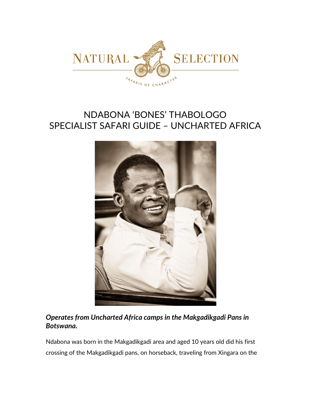

# NDABONA 'BONES' THABOLOGO SPECIALIST SAFARI GUIDE – UNCHARTED AFRICA



# *Operates from Uncharted Africa camps in the Makgadikgadi Pans in Botswana.*

Ndabona was born in the Makgadikgadi area and aged 10 years old did his first crossing of the Makgadikgadi pans, on horseback, traveling from Xingara on the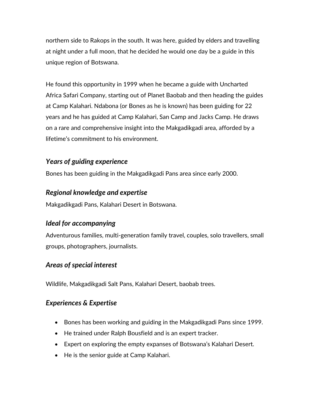northern side to Rakops in the south. It was here, guided by elders and travelling at night under a full moon, that he decided he would one day be a guide in this unique region of Botswana.

He found this opportunity in 1999 when he became a guide with Uncharted Africa Safari Company, starting out of Planet Baobab and then heading the guides at Camp Kalahari. Ndabona (or Bones as he is known) has been guiding for 22 years and he has guided at Camp Kalahari, San Camp and Jacks Camp. He draws on a rare and comprehensive insight into the Makgadikgadi area, afforded by a lifetime's commitment to his environment.

#### *Years of guiding experience*

Bones has been guiding in the Makgadikgadi Pans area since early 2000.

#### *Regional knowledge and expertise*

Makgadikgadi Pans, Kalahari Desert in Botswana.

## *Ideal for accompanying*

Adventurous families, multi-generation family travel, couples, solo travellers, small groups, photographers, journalists.

## *Areas of special interest*

Wildlife, Makgadikgadi Salt Pans, Kalahari Desert, baobab trees.

#### *Experiences & Expertise*

- Bones has been working and guiding in the Makgadikgadi Pans since 1999.
- He trained under Ralph Bousfield and is an expert tracker.
- Expert on exploring the empty expanses of Botswana's Kalahari Desert.
- He is the senior guide at Camp Kalahari.